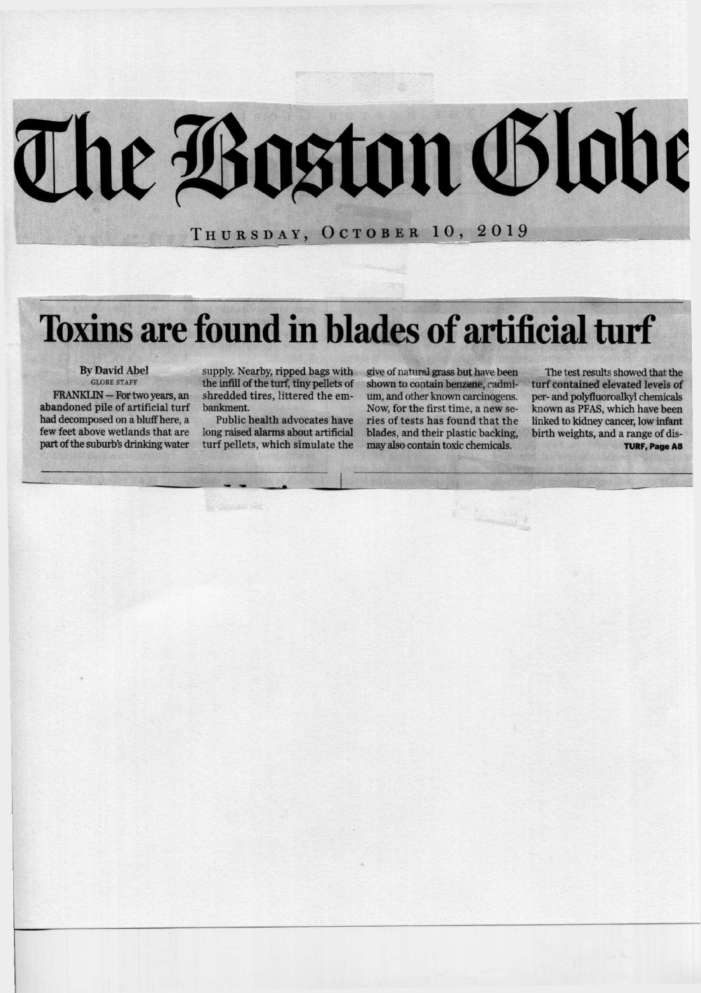# The Boston Globe

**THURSDAY , OCTOBE R 10, 2 0 1 9** 

## **Toxins are found in blades of artificial turf**

By David Abel

FRANKLIN -- For two years, an abandoned pile of artificial turf had decomposed on a bluff here, a few feet above wetlands that are part of the suburb's drinking water

supply. Nearby, ripped bags with give of natural grass but have been<br>the infill of the turf, tiny pellets of shown to contain benzene, cadmi-<br>shredded tires, littered the em- um, and other known carcinogens. bankment.<br>Public health advocates have

long raised alarms about artificial turf pellets, which simulate the shown to contain benzene, cadmium, and other known carcinogens. Now, for the first time, a new seblades, and their plastic backing, may also contain toxic chemicals.

**Productive** 

The test results showed that the turf contained elevated levels of<br>per- and polyfluoroalkyl chemicals known as PFAS, which have been<br>linked to kidney cancer, low infant<br>birth weights, and a range of dis-**TURF, Page A8**